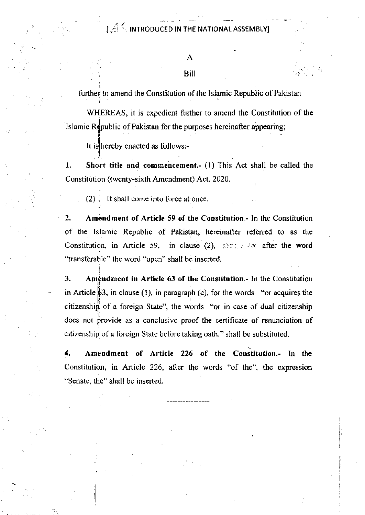## $\mathbb{R}^d \leq \mathsf{INTRODUCED}$  in the national assembly

Bi

further to amend the Constitution of the Islamic Republic of Pakistan

WHEREAS, it is expedient further to amend the Constitution of the Islamic Republic of Pakistan for the purposes hereinafter appearing;

It is hereby enacted as follows:-

l. Short title and commencement.- (l) This Act shall be called the Constitution (twenty-sixth Amendment) Act, 2O2O.

i

 $(2)$ . It shall come into force at once.

l

I

2. Amendment of Article 59 of the Constitution.- In the Constitution of the Islamic Republic of Pakistan, hereinafter referred to as the Constitution, in Article 59, in clause (2),  $s: x \rightarrow \infty$  after the word "transferable" the word "open" shall be inserted.

3. Amendment in Article 63 of the Constitution.- In the Constitution in Article  $\sharp 3$ , in clause (1), in paragraph (c), for the words. "or acquires the citizenshi of a foreign State", the words "or in case of dual citizenship does not provide as a conclusive proof the certificate of renunciation of citizenship of a foreign State before taking oath." shall be substituted.

4. Amendment of Article 226 of the Constitution.- In the Constitution, in Article 226, after the words "of the", the expression "Senate, the" shall be inserted.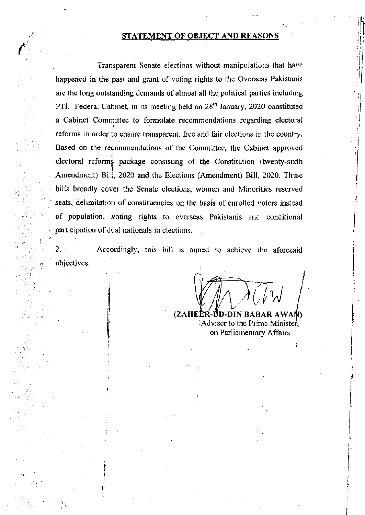## STATEMENT OF OBJECT AND REASONS

Transparent Senate elections without manipulations that have happened in the past and grant of voting rights to the Overseas Pakistanis are the long outstanding demands of almost all the political parties including PTI. Federal Cabinet, in its meeting held on 28<sup>th</sup> January, 2020 constituted a Cabinet Committee to formulate recommendations regarding electoral reforms in order to ensure transparent, free and fair elections in the country. Based on the recommendations of the Committee, the Cabinet approved electoral reforms package consisting of the Constitution (twenty-sixth) Amendment) Bill, 2020 and the Elections (Amendment) Bill, 2020. These bills broadly cover the Senate elections, women and Minorities reserved seats, delimitation of constituencies on the basis of enrolled voters instead of population, voting rights to overseas Pakistanis and conditional participation of dual nationals in elections.

 $2.$ Accordingly, this bill is aimed to achieve the aforesaid objectives.

(ZAHE DIN BABAR AWAN) Adviser to the Prime Ministe on Parliamentary Affairs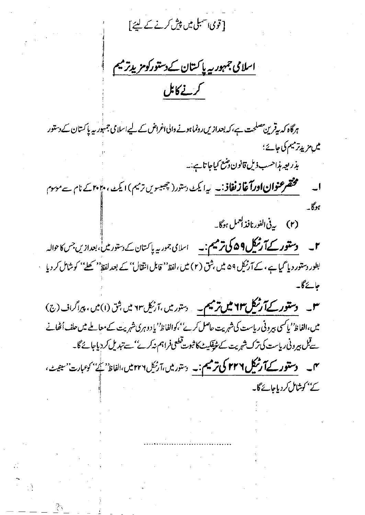[قویٰ سمبلی میں پی*ش کرنے کے* لیئے]

اسلامی جمہور سے پاکستان کے دستورکومزید ترمیم ر<br>سنے کابل

ہرگاہ کہ بیقرین مصلحت ہے، کہ بعدازیں رونماہونے والی اغراض کے لیے اسلامی جمہور پہ پا کستان کے دستور میں مزید ترمیم کی جائے ؛

بذريعه بذاحسب ذيل قانون وتنع كياجا تايبنه

مختصر عنوا**ن اورآ غاز نفاذ . ب**ه ایک دستور( چهبسویں ترمیم) ایک ، م<sup>ی</sup> ۲۰ کے نام سے موسوم  $K_{\alpha}$ 

(۲) يەفى الفورنافذ ا<sup>لىم</sup>ىل ہوگا۔

**۲۔ دستور کے آرٹیکل۹۵۹ کی ترمیم:۔** اسلامی جموریہ پاکستان کے دستور میں کی بعدازیں جس کا حوالہ بطور دستور دیا گیا ہے ، کے آرنیک ۵۹ میں بثق (۲) میں ،لفظ'' قابل انتقال'' کے بعد لفظ'' کھلے'' کوشامل کر دیا جائے گا۔

**۳۔ دستور کےآرٹیکل ۲۳ میں ترمیم۔** دستور میں ،آرٹیک ۲۳ میں شق (۱)میں ، پیراگراف (ج) میں،الفاظ' کیا کسی بیرونی ریاست کی شہریت حاصل کرے''،کوالفاظ' کیا دوہری شہریت کے معاملے میں حلف اُٹھانے سےقبل پیرونی ریاست کی ترک شہریت کے شریکیٹ کا ثبوت قطعی فراہم نہ کرے''سے تبدیل کر دیاجائے گا۔ مہم۔ دس**تور کےآرٹیکل ۲۲۶ کی ترمیم:۔** <sub>دستور</sub>میں،آرٹیک۲۲۴میں،الفاظ<sup>ہ ک</sup>ے کوعبارت'<sup>س</sup>ینیٹ، کے بحوشامل کردیاجائے گا۔